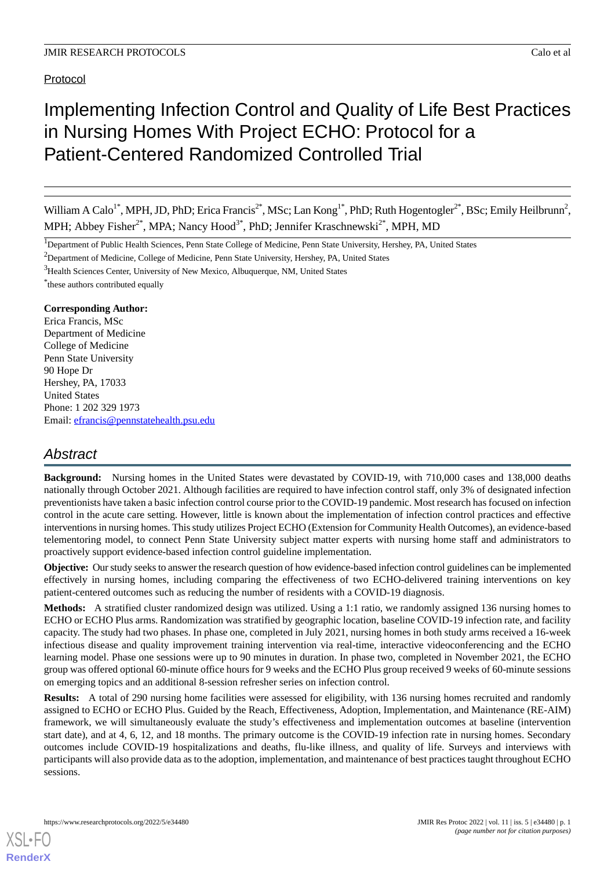Protocol

# Implementing Infection Control and Quality of Life Best Practices in Nursing Homes With Project ECHO: Protocol for a Patient-Centered Randomized Controlled Trial

William A Calo<sup>1\*</sup>, MPH, JD, PhD; Erica Francis<sup>2\*</sup>, MSc; Lan Kong<sup>1\*</sup>, PhD; Ruth Hogentogler<sup>2\*</sup>, BSc; Emily Heilbrunn<sup>2</sup>, MPH; Abbey Fisher<sup>2\*</sup>, MPA; Nancy Hood<sup>3\*</sup>, PhD; Jennifer Kraschnewski<sup>2\*</sup>, MPH, MD

<sup>1</sup>Department of Public Health Sciences, Penn State College of Medicine, Penn State University, Hershey, PA, United States

<sup>2</sup>Department of Medicine, College of Medicine, Penn State University, Hershey, PA, United States

<sup>3</sup>Health Sciences Center, University of New Mexico, Albuquerque, NM, United States

\* these authors contributed equally

#### **Corresponding Author:**

Erica Francis, MSc Department of Medicine College of Medicine Penn State University 90 Hope Dr Hershey, PA, 17033 United States Phone: 1 202 329 1973 Email: [efrancis@pennstatehealth.psu.edu](mailto:efrancis@pennstatehealth.psu.edu)

# *Abstract*

**Background:** Nursing homes in the United States were devastated by COVID-19, with 710,000 cases and 138,000 deaths nationally through October 2021. Although facilities are required to have infection control staff, only 3% of designated infection preventionists have taken a basic infection control course prior to the COVID-19 pandemic. Most research has focused on infection control in the acute care setting. However, little is known about the implementation of infection control practices and effective interventions in nursing homes. This study utilizes Project ECHO (Extension for Community Health Outcomes), an evidence-based telementoring model, to connect Penn State University subject matter experts with nursing home staff and administrators to proactively support evidence-based infection control guideline implementation.

**Objective:** Our study seeks to answer the research question of how evidence-based infection control guidelines can be implemented effectively in nursing homes, including comparing the effectiveness of two ECHO-delivered training interventions on key patient-centered outcomes such as reducing the number of residents with a COVID-19 diagnosis.

**Methods:** A stratified cluster randomized design was utilized. Using a 1:1 ratio, we randomly assigned 136 nursing homes to ECHO or ECHO Plus arms. Randomization was stratified by geographic location, baseline COVID-19 infection rate, and facility capacity. The study had two phases. In phase one, completed in July 2021, nursing homes in both study arms received a 16-week infectious disease and quality improvement training intervention via real-time, interactive videoconferencing and the ECHO learning model. Phase one sessions were up to 90 minutes in duration. In phase two, completed in November 2021, the ECHO group was offered optional 60-minute office hours for 9 weeks and the ECHO Plus group received 9 weeks of 60-minute sessions on emerging topics and an additional 8-session refresher series on infection control.

**Results:** A total of 290 nursing home facilities were assessed for eligibility, with 136 nursing homes recruited and randomly assigned to ECHO or ECHO Plus. Guided by the Reach, Effectiveness, Adoption, Implementation, and Maintenance (RE-AIM) framework, we will simultaneously evaluate the study's effectiveness and implementation outcomes at baseline (intervention start date), and at 4, 6, 12, and 18 months. The primary outcome is the COVID-19 infection rate in nursing homes. Secondary outcomes include COVID-19 hospitalizations and deaths, flu-like illness, and quality of life. Surveys and interviews with participants will also provide data as to the adoption, implementation, and maintenance of best practices taught throughout ECHO sessions.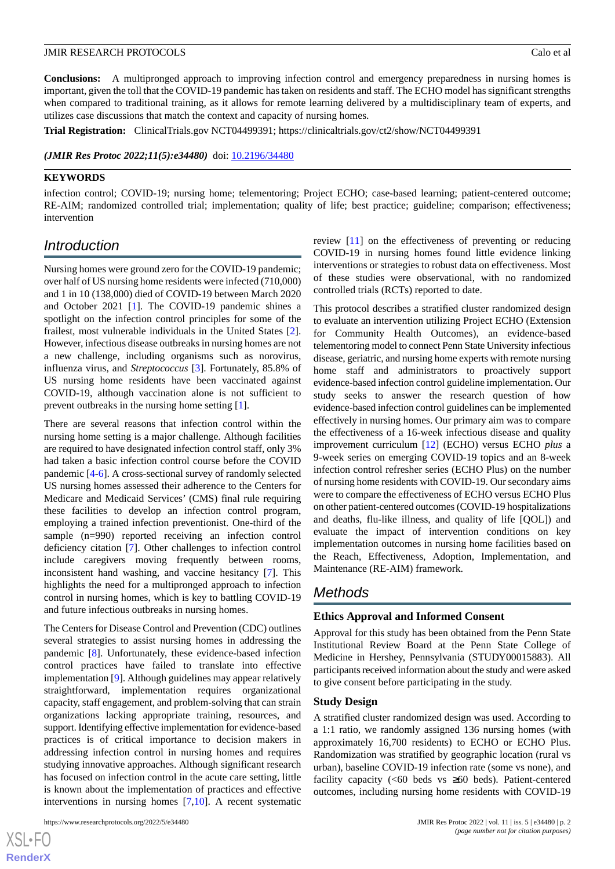**Conclusions:** A multipronged approach to improving infection control and emergency preparedness in nursing homes is important, given the toll that the COVID-19 pandemic has taken on residents and staff. The ECHO model has significant strengths when compared to traditional training, as it allows for remote learning delivered by a multidisciplinary team of experts, and utilizes case discussions that match the context and capacity of nursing homes.

**Trial Registration:** ClinicalTrials.gov NCT04499391; https://clinicaltrials.gov/ct2/show/NCT04499391

*(JMIR Res Protoc 2022;11(5):e34480)* doi: [10.2196/34480](http://dx.doi.org/10.2196/34480)

#### **KEYWORDS**

infection control; COVID-19; nursing home; telementoring; Project ECHO; case-based learning; patient-centered outcome; RE-AIM; randomized controlled trial; implementation; quality of life; best practice; guideline; comparison; effectiveness; intervention

# *Introduction*

Nursing homes were ground zero for the COVID-19 pandemic; over half of US nursing home residents were infected (710,000) and 1 in 10 (138,000) died of COVID-19 between March 2020 and October 2021 [[1](#page-8-0)]. The COVID-19 pandemic shines a spotlight on the infection control principles for some of the frailest, most vulnerable individuals in the United States [[2\]](#page-8-1). However, infectious disease outbreaks in nursing homes are not a new challenge, including organisms such as norovirus, influenza virus, and *Streptococcus* [[3\]](#page-8-2). Fortunately, 85.8% of US nursing home residents have been vaccinated against COVID-19, although vaccination alone is not sufficient to prevent outbreaks in the nursing home setting [[1\]](#page-8-0).

There are several reasons that infection control within the nursing home setting is a major challenge. Although facilities are required to have designated infection control staff, only 3% had taken a basic infection control course before the COVID pandemic [[4](#page-8-3)[-6](#page-9-0)]. A cross-sectional survey of randomly selected US nursing homes assessed their adherence to the Centers for Medicare and Medicaid Services' (CMS) final rule requiring these facilities to develop an infection control program, employing a trained infection preventionist. One-third of the sample (n=990) reported receiving an infection control deficiency citation [[7\]](#page-9-1). Other challenges to infection control include caregivers moving frequently between rooms, inconsistent hand washing, and vaccine hesitancy [\[7\]](#page-9-1). This highlights the need for a multipronged approach to infection control in nursing homes, which is key to battling COVID-19 and future infectious outbreaks in nursing homes.

The Centers for Disease Control and Prevention (CDC) outlines several strategies to assist nursing homes in addressing the pandemic [[8\]](#page-9-2). Unfortunately, these evidence-based infection control practices have failed to translate into effective implementation [[9\]](#page-9-3). Although guidelines may appear relatively straightforward, implementation requires organizational capacity, staff engagement, and problem-solving that can strain organizations lacking appropriate training, resources, and support. Identifying effective implementation for evidence-based practices is of critical importance to decision makers in addressing infection control in nursing homes and requires studying innovative approaches. Although significant research has focused on infection control in the acute care setting, little is known about the implementation of practices and effective interventions in nursing homes [\[7,](#page-9-1)[10\]](#page-9-4). A recent systematic

[XSL](http://www.w3.org/Style/XSL)•FO **[RenderX](http://www.renderx.com/)** review [\[11](#page-9-5)] on the effectiveness of preventing or reducing COVID-19 in nursing homes found little evidence linking interventions or strategies to robust data on effectiveness. Most of these studies were observational, with no randomized controlled trials (RCTs) reported to date.

This protocol describes a stratified cluster randomized design to evaluate an intervention utilizing Project ECHO (Extension for Community Health Outcomes), an evidence-based telementoring model to connect Penn State University infectious disease, geriatric, and nursing home experts with remote nursing home staff and administrators to proactively support evidence-based infection control guideline implementation. Our study seeks to answer the research question of how evidence-based infection control guidelines can be implemented effectively in nursing homes. Our primary aim was to compare the effectiveness of a 16-week infectious disease and quality improvement curriculum [[12\]](#page-9-6) (ECHO) versus ECHO *plus* a 9-week series on emerging COVID-19 topics and an 8-week infection control refresher series (ECHO Plus) on the number of nursing home residents with COVID-19. Our secondary aims were to compare the effectiveness of ECHO versus ECHO Plus on other patient-centered outcomes (COVID-19 hospitalizations and deaths, flu-like illness, and quality of life [QOL]) and evaluate the impact of intervention conditions on key implementation outcomes in nursing home facilities based on the Reach, Effectiveness, Adoption, Implementation, and Maintenance (RE-AIM) framework.

# *Methods*

#### **Ethics Approval and Informed Consent**

Approval for this study has been obtained from the Penn State Institutional Review Board at the Penn State College of Medicine in Hershey, Pennsylvania (STUDY00015883). All participants received information about the study and were asked to give consent before participating in the study.

#### **Study Design**

A stratified cluster randomized design was used. According to a 1:1 ratio, we randomly assigned 136 nursing homes (with approximately 16,700 residents) to ECHO or ECHO Plus. Randomization was stratified by geographic location (rural vs urban), baseline COVID-19 infection rate (some vs none), and facility capacity  $\langle 60 \rangle$  beds vs  $\geq 60$  beds). Patient-centered outcomes, including nursing home residents with COVID-19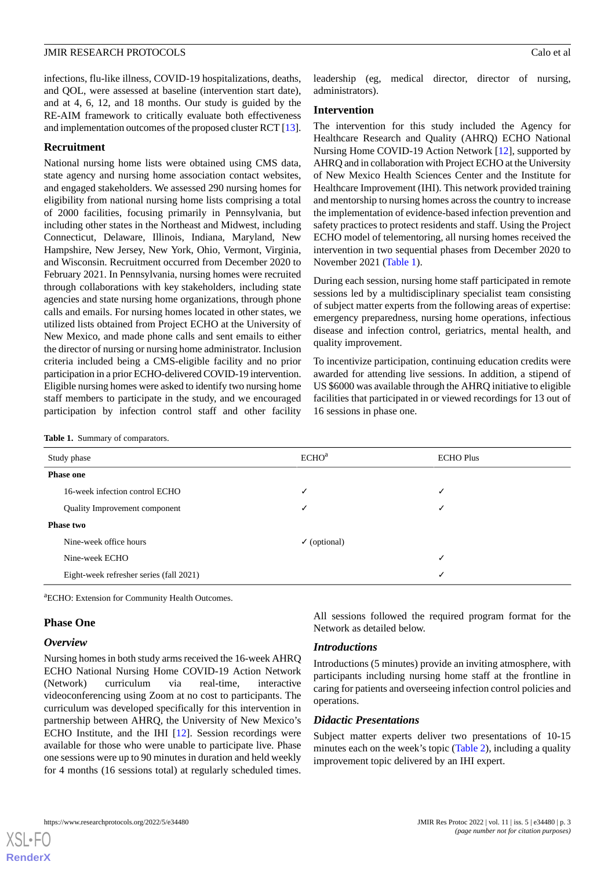infections, flu-like illness, COVID-19 hospitalizations, deaths, and QOL, were assessed at baseline (intervention start date), and at 4, 6, 12, and 18 months. Our study is guided by the RE-AIM framework to critically evaluate both effectiveness and implementation outcomes of the proposed cluster RCT [\[13\]](#page-9-7).

#### **Recruitment**

National nursing home lists were obtained using CMS data, state agency and nursing home association contact websites, and engaged stakeholders. We assessed 290 nursing homes for eligibility from national nursing home lists comprising a total of 2000 facilities, focusing primarily in Pennsylvania, but including other states in the Northeast and Midwest, including Connecticut, Delaware, Illinois, Indiana, Maryland, New Hampshire, New Jersey, New York, Ohio, Vermont, Virginia, and Wisconsin. Recruitment occurred from December 2020 to February 2021. In Pennsylvania, nursing homes were recruited through collaborations with key stakeholders, including state agencies and state nursing home organizations, through phone calls and emails. For nursing homes located in other states, we utilized lists obtained from Project ECHO at the University of New Mexico, and made phone calls and sent emails to either the director of nursing or nursing home administrator. Inclusion criteria included being a CMS-eligible facility and no prior participation in a prior ECHO-delivered COVID-19 intervention. Eligible nursing homes were asked to identify two nursing home staff members to participate in the study, and we encouraged participation by infection control staff and other facility

leadership (eg, medical director, director of nursing, administrators).

#### **Intervention**

The intervention for this study included the Agency for Healthcare Research and Quality (AHRQ) ECHO National Nursing Home COVID-19 Action Network [[12\]](#page-9-6), supported by AHRQ and in collaboration with Project ECHO at the University of New Mexico Health Sciences Center and the Institute for Healthcare Improvement (IHI). This network provided training and mentorship to nursing homes across the country to increase the implementation of evidence-based infection prevention and safety practices to protect residents and staff. Using the Project ECHO model of telementoring, all nursing homes received the intervention in two sequential phases from December 2020 to November 2021 ([Table 1](#page-2-0)).

During each session, nursing home staff participated in remote sessions led by a multidisciplinary specialist team consisting of subject matter experts from the following areas of expertise: emergency preparedness, nursing home operations, infectious disease and infection control, geriatrics, mental health, and quality improvement.

To incentivize participation, continuing education credits were awarded for attending live sessions. In addition, a stipend of US \$6000 was available through the AHRQ initiative to eligible facilities that participated in or viewed recordings for 13 out of 16 sessions in phase one.

<span id="page-2-0"></span>

|  |  |  | <b>Table 1.</b> Summary of comparators. |  |
|--|--|--|-----------------------------------------|--|
|--|--|--|-----------------------------------------|--|

| Study phase                             | ECHO <sup>a</sup>       | <b>ECHO Plus</b> |  |
|-----------------------------------------|-------------------------|------------------|--|
| <b>Phase one</b>                        |                         |                  |  |
| 16-week infection control ECHO          | √                       |                  |  |
| Quality Improvement component           | ✓                       | ✔                |  |
| <b>Phase two</b>                        |                         |                  |  |
| Nine-week office hours                  | $\checkmark$ (optional) |                  |  |
| Nine-week ECHO                          |                         | ✓                |  |
| Eight-week refresher series (fall 2021) |                         |                  |  |
|                                         |                         |                  |  |

<sup>a</sup>ECHO: Extension for Community Health Outcomes.

#### **Phase One**

#### *Overview*

Nursing homes in both study arms received the 16-week AHRQ ECHO National Nursing Home COVID-19 Action Network (Network) curriculum via real-time, interactive videoconferencing using Zoom at no cost to participants. The curriculum was developed specifically for this intervention in partnership between AHRQ, the University of New Mexico's ECHO Institute, and the IHI [[12\]](#page-9-6). Session recordings were available for those who were unable to participate live. Phase one sessions were up to 90 minutes in duration and held weekly for 4 months (16 sessions total) at regularly scheduled times.

All sessions followed the required program format for the Network as detailed below.

#### *Introductions*

Introductions (5 minutes) provide an inviting atmosphere, with participants including nursing home staff at the frontline in caring for patients and overseeing infection control policies and operations.

#### *Didactic Presentations*

Subject matter experts deliver two presentations of 10-15 minutes each on the week's topic ([Table 2](#page-3-0)), including a quality improvement topic delivered by an IHI expert.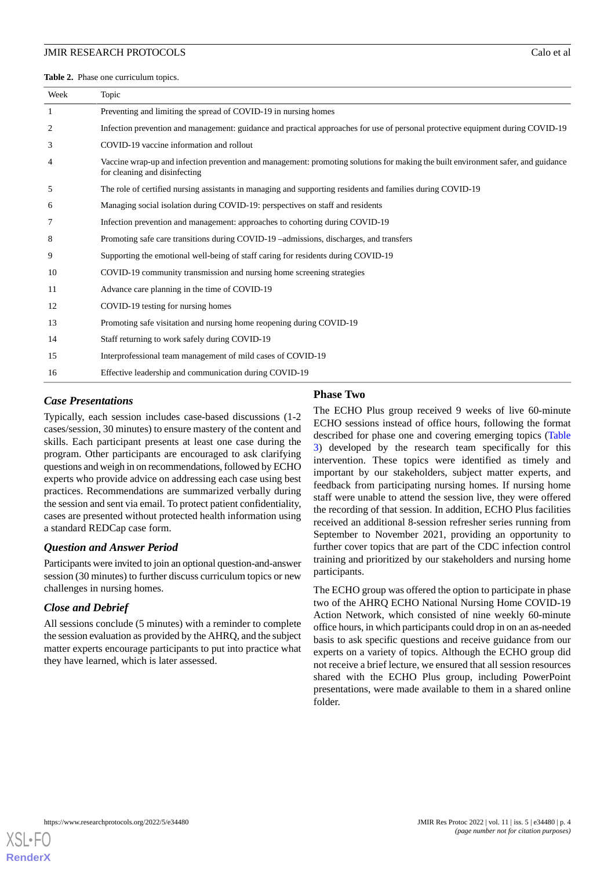<span id="page-3-0"></span>**Table 2.** Phase one curriculum topics.

| Week           | Topic                                                                                                                                                              |
|----------------|--------------------------------------------------------------------------------------------------------------------------------------------------------------------|
| 1              | Preventing and limiting the spread of COVID-19 in nursing homes                                                                                                    |
| $\overline{2}$ | Infection prevention and management: guidance and practical approaches for use of personal protective equipment during COVID-19                                    |
| 3              | COVID-19 vaccine information and rollout                                                                                                                           |
| 4              | Vaccine wrap-up and infection prevention and management: promoting solutions for making the built environment safer, and guidance<br>for cleaning and disinfecting |
| 5              | The role of certified nursing assistants in managing and supporting residents and families during COVID-19                                                         |
| 6              | Managing social isolation during COVID-19: perspectives on staff and residents                                                                                     |
| 7              | Infection prevention and management: approaches to cohorting during COVID-19                                                                                       |
| 8              | Promoting safe care transitions during COVID-19 -admissions, discharges, and transfers                                                                             |
| 9              | Supporting the emotional well-being of staff caring for residents during COVID-19                                                                                  |
| 10             | COVID-19 community transmission and nursing home screening strategies                                                                                              |
| 11             | Advance care planning in the time of COVID-19                                                                                                                      |
| 12             | COVID-19 testing for nursing homes                                                                                                                                 |
| 13             | Promoting safe visitation and nursing home reopening during COVID-19                                                                                               |
| 14             | Staff returning to work safely during COVID-19                                                                                                                     |
| 15             | Interprofessional team management of mild cases of COVID-19                                                                                                        |
| 16             | Effective leadership and communication during COVID-19                                                                                                             |

# *Case Presentations*

### Typically, each session includes case-based discussions (1-2 cases/session, 30 minutes) to ensure mastery of the content and skills. Each participant presents at least one case during the program. Other participants are encouraged to ask clarifying questions and weigh in on recommendations, followed by ECHO experts who provide advice on addressing each case using best practices. Recommendations are summarized verbally during the session and sent via email. To protect patient confidentiality, cases are presented without protected health information using a standard REDCap case form.

## *Question and Answer Period*

Participants were invited to join an optional question-and-answer session (30 minutes) to further discuss curriculum topics or new challenges in nursing homes.

## *Close and Debrief*

All sessions conclude (5 minutes) with a reminder to complete the session evaluation as provided by the AHRQ, and the subject matter experts encourage participants to put into practice what they have learned, which is later assessed.

## **Phase Two**

The ECHO Plus group received 9 weeks of live 60-minute ECHO sessions instead of office hours, following the format described for phase one and covering emerging topics ([Table](#page-4-0) [3\)](#page-4-0) developed by the research team specifically for this intervention. These topics were identified as timely and important by our stakeholders, subject matter experts, and feedback from participating nursing homes. If nursing home staff were unable to attend the session live, they were offered the recording of that session. In addition, ECHO Plus facilities received an additional 8-session refresher series running from September to November 2021, providing an opportunity to further cover topics that are part of the CDC infection control training and prioritized by our stakeholders and nursing home participants.

The ECHO group was offered the option to participate in phase two of the AHRQ ECHO National Nursing Home COVID-19 Action Network, which consisted of nine weekly 60-minute office hours, in which participants could drop in on an as-needed basis to ask specific questions and receive guidance from our experts on a variety of topics. Although the ECHO group did not receive a brief lecture, we ensured that all session resources shared with the ECHO Plus group, including PowerPoint presentations, were made available to them in a shared online folder.

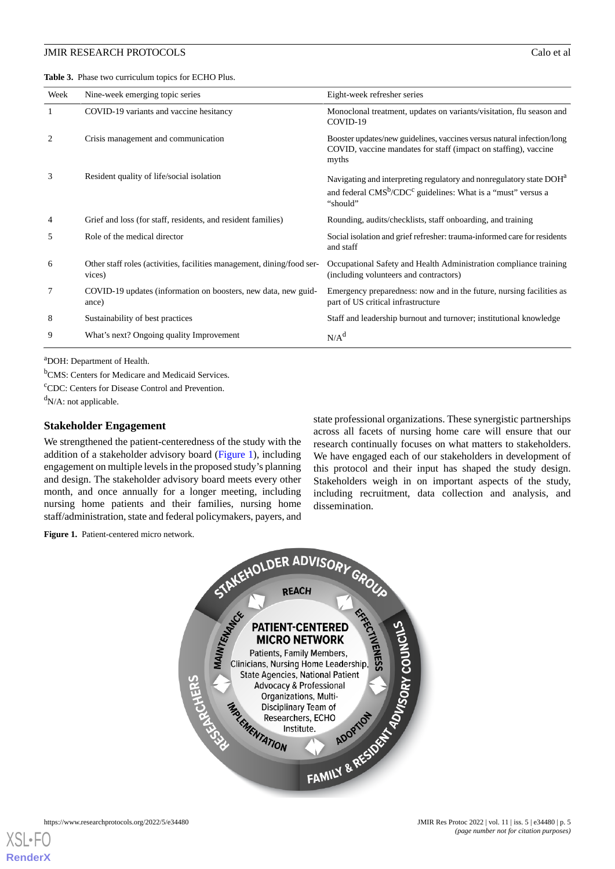<span id="page-4-0"></span>**Table 3.** Phase two curriculum topics for ECHO Plus.

| Week | Nine-week emerging topic series                                                  | Eight-week refresher series                                                                                                                                                         |
|------|----------------------------------------------------------------------------------|-------------------------------------------------------------------------------------------------------------------------------------------------------------------------------------|
| 1    | COVID-19 variants and vaccine hesitancy                                          | Monoclonal treatment, updates on variants/visitation, flu season and<br>COVID-19                                                                                                    |
| 2    | Crisis management and communication                                              | Booster updates/new guidelines, vaccines versus natural infection/long<br>COVID, vaccine mandates for staff (impact on staffing), vaccine<br>myths                                  |
| 3    | Resident quality of life/social isolation                                        | Navigating and interpreting regulatory and nonregulatory state DOH <sup>a</sup><br>and federal CMS <sup>b</sup> /CDC <sup>c</sup> guidelines: What is a "must" versus a<br>"should" |
| 4    | Grief and loss (for staff, residents, and resident families)                     | Rounding, audits/checklists, staff onboarding, and training                                                                                                                         |
| 5    | Role of the medical director                                                     | Social isolation and grief refresher: trauma-informed care for residents<br>and staff                                                                                               |
| 6    | Other staff roles (activities, facilities management, dining/food ser-<br>vices) | Occupational Safety and Health Administration compliance training<br>(including volunteers and contractors)                                                                         |
| 7    | COVID-19 updates (information on boosters, new data, new guid-<br>ance)          | Emergency preparedness: now and in the future, nursing facilities as<br>part of US critical infrastructure                                                                          |
| 8    | Sustainability of best practices                                                 | Staff and leadership burnout and turnover; institutional knowledge                                                                                                                  |
| 9    | What's next? Ongoing quality Improvement                                         | $N/A^d$                                                                                                                                                                             |

<sup>a</sup>DOH: Department of Health.

<sup>b</sup>CMS: Centers for Medicare and Medicaid Services.

<sup>c</sup>CDC: Centers for Disease Control and Prevention.

 $d_{N/A}$ : not applicable.

#### **Stakeholder Engagement**

<span id="page-4-1"></span>We strengthened the patient-centeredness of the study with the addition of a stakeholder advisory board [\(Figure 1](#page-4-1)), including engagement on multiple levels in the proposed study's planning and design. The stakeholder advisory board meets every other month, and once annually for a longer meeting, including nursing home patients and their families, nursing home staff/administration, state and federal policymakers, payers, and

state professional organizations. These synergistic partnerships across all facets of nursing home care will ensure that our research continually focuses on what matters to stakeholders. We have engaged each of our stakeholders in development of this protocol and their input has shaped the study design. Stakeholders weigh in on important aspects of the study, including recruitment, data collection and analysis, and dissemination.

**Figure 1.** Patient-centered micro network.

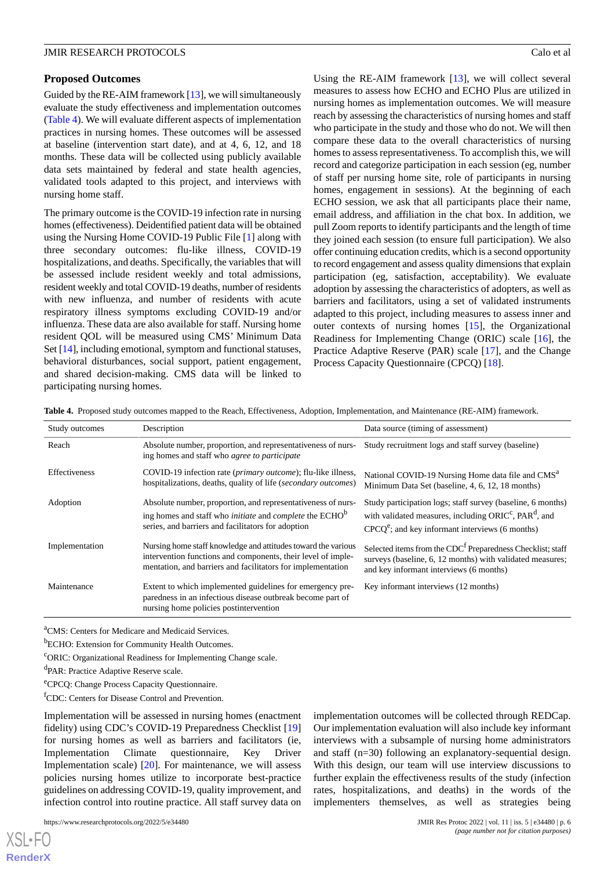#### **Proposed Outcomes**

Guided by the RE-AIM framework [\[13\]](#page-9-7), we will simultaneously evaluate the study effectiveness and implementation outcomes ([Table 4\)](#page-5-0). We will evaluate different aspects of implementation practices in nursing homes. These outcomes will be assessed at baseline (intervention start date), and at 4, 6, 12, and 18 months. These data will be collected using publicly available data sets maintained by federal and state health agencies, validated tools adapted to this project, and interviews with nursing home staff.

The primary outcome is the COVID-19 infection rate in nursing homes (effectiveness). Deidentified patient data will be obtained using the Nursing Home COVID-19 Public File [[1\]](#page-8-0) along with three secondary outcomes: flu-like illness, COVID-19 hospitalizations, and deaths. Specifically, the variables that will be assessed include resident weekly and total admissions, resident weekly and total COVID-19 deaths, number of residents with new influenza, and number of residents with acute respiratory illness symptoms excluding COVID-19 and/or influenza. These data are also available for staff. Nursing home resident QOL will be measured using CMS' Minimum Data Set [\[14](#page-9-8)], including emotional, symptom and functional statuses, behavioral disturbances, social support, patient engagement, and shared decision-making. CMS data will be linked to participating nursing homes.

Using the RE-AIM framework [[13\]](#page-9-7), we will collect several measures to assess how ECHO and ECHO Plus are utilized in nursing homes as implementation outcomes. We will measure reach by assessing the characteristics of nursing homes and staff who participate in the study and those who do not. We will then compare these data to the overall characteristics of nursing homes to assess representativeness. To accomplish this, we will record and categorize participation in each session (eg, number of staff per nursing home site, role of participants in nursing homes, engagement in sessions). At the beginning of each ECHO session, we ask that all participants place their name, email address, and affiliation in the chat box. In addition, we pull Zoom reports to identify participants and the length of time they joined each session (to ensure full participation). We also offer continuing education credits, which is a second opportunity to record engagement and assess quality dimensions that explain participation (eg, satisfaction, acceptability). We evaluate adoption by assessing the characteristics of adopters, as well as barriers and facilitators, using a set of validated instruments adapted to this project, including measures to assess inner and outer contexts of nursing homes [[15\]](#page-9-9), the Organizational Readiness for Implementing Change (ORIC) scale [[16\]](#page-9-10), the Practice Adaptive Reserve (PAR) scale [[17\]](#page-9-11), and the Change Process Capacity Questionnaire (CPCQ) [[18\]](#page-9-12).

<span id="page-5-0"></span>**Table 4.** Proposed study outcomes mapped to the Reach, Effectiveness, Adoption, Implementation, and Maintenance (RE-AIM) framework.

| Study outcomes | Description                                                                                                                                                                                             | Data source (timing of assessment)                                                                                                                                                                |
|----------------|---------------------------------------------------------------------------------------------------------------------------------------------------------------------------------------------------------|---------------------------------------------------------------------------------------------------------------------------------------------------------------------------------------------------|
| Reach          | Absolute number, proportion, and representativeness of nurs-<br>ing homes and staff who <i>agree to participate</i>                                                                                     | Study recruitment logs and staff survey (baseline)                                                                                                                                                |
| Effectiveness  | COVID-19 infection rate ( <i>primary outcome</i> ); flu-like illness,<br>hospitalizations, deaths, quality of life (secondary outcomes)                                                                 | National COVID-19 Nursing Home data file and CMS <sup>a</sup><br>Minimum Data Set (baseline, 4, 6, 12, 18 months)                                                                                 |
| Adoption       | Absolute number, proportion, and representativeness of nurs-<br>ing homes and staff who <i>initiate</i> and <i>complete</i> the ECHO <sup>b</sup><br>series, and barriers and facilitators for adoption | Study participation logs; staff survey (baseline, 6 months)<br>with validated measures, including ORIC <sup>c</sup> , PAR <sup>d</sup> , and<br>$CPCOe$ ; and key informant interviews (6 months) |
| Implementation | Nursing home staff knowledge and attitudes toward the various<br>intervention functions and components, their level of imple-<br>mentation, and barriers and facilitators for implementation            | Selected items from the CDC <sup>f</sup> Preparedness Checklist; staff<br>surveys (baseline, 6, 12 months) with validated measures;<br>and key informant interviews (6 months)                    |
| Maintenance    | Extent to which implemented guidelines for emergency pre-<br>paredness in an infectious disease outbreak become part of<br>nursing home policies postintervention                                       | Key informant interviews (12 months)                                                                                                                                                              |

<sup>a</sup>CMS: Centers for Medicare and Medicaid Services.

<sup>b</sup>ECHO: Extension for Community Health Outcomes.

<sup>c</sup>ORIC: Organizational Readiness for Implementing Change scale.

<sup>d</sup>PAR: Practice Adaptive Reserve scale.

<sup>e</sup>CPCQ: Change Process Capacity Questionnaire.

<sup>f</sup>CDC: Centers for Disease Control and Prevention.

Implementation will be assessed in nursing homes (enactment fidelity) using CDC's COVID-19 Preparedness Checklist [\[19](#page-9-13)] for nursing homes as well as barriers and facilitators (ie, Implementation Climate questionnaire, Key Driver Implementation scale) [[20\]](#page-9-14). For maintenance, we will assess policies nursing homes utilize to incorporate best-practice guidelines on addressing COVID-19, quality improvement, and infection control into routine practice. All staff survey data on

https://www.researchprotocols.org/2022/5/e34480 **JMIR Res Protoc 2022 | vol. 11 | iss. 5 | e34480 | p. 6** 

 $XS$  $\cdot$ FC **[RenderX](http://www.renderx.com/)** implementation outcomes will be collected through REDCap. Our implementation evaluation will also include key informant interviews with a subsample of nursing home administrators and staff (n=30) following an explanatory-sequential design. With this design, our team will use interview discussions to further explain the effectiveness results of the study (infection rates, hospitalizations, and deaths) in the words of the implementers themselves, as well as strategies being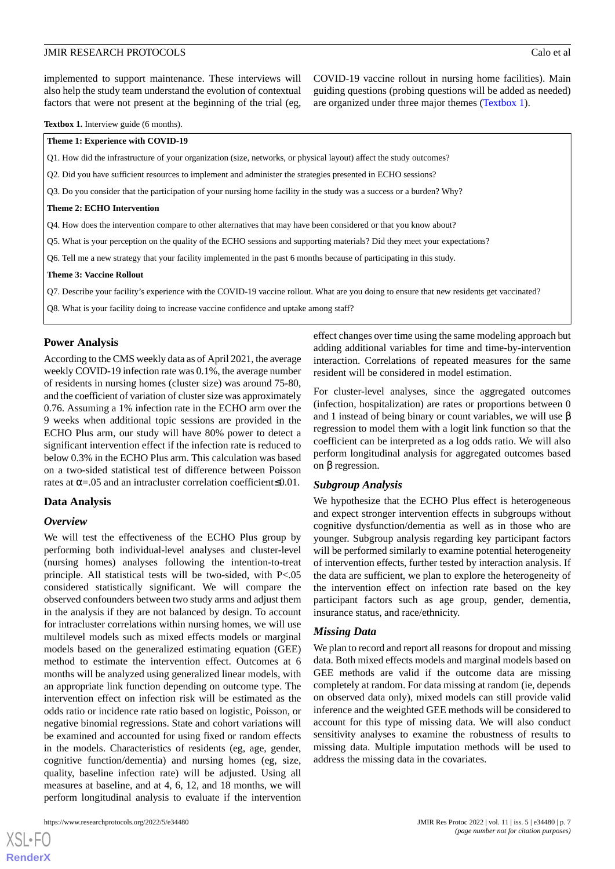COVID-19 vaccine rollout in nursing home facilities). Main guiding questions (probing questions will be added as needed) are organized under three major themes ([Textbox 1\)](#page-6-0).

<span id="page-6-0"></span>**Textbox 1.** Interview guide (6 months).

**Theme 1: Experience with COVID-19**

Q1. How did the infrastructure of your organization (size, networks, or physical layout) affect the study outcomes?

Q2. Did you have sufficient resources to implement and administer the strategies presented in ECHO sessions?

Q3. Do you consider that the participation of your nursing home facility in the study was a success or a burden? Why?

#### **Theme 2: ECHO Intervention**

Q4. How does the intervention compare to other alternatives that may have been considered or that you know about?

Q5. What is your perception on the quality of the ECHO sessions and supporting materials? Did they meet your expectations?

Q6. Tell me a new strategy that your facility implemented in the past 6 months because of participating in this study.

#### **Theme 3: Vaccine Rollout**

Q7. Describe your facility's experience with the COVID-19 vaccine rollout. What are you doing to ensure that new residents get vaccinated?

Q8. What is your facility doing to increase vaccine confidence and uptake among staff?

### **Power Analysis**

According to the CMS weekly data as of April 2021, the average weekly COVID-19 infection rate was 0.1%, the average number of residents in nursing homes (cluster size) was around 75-80, and the coefficient of variation of cluster size was approximately 0.76. Assuming a 1% infection rate in the ECHO arm over the 9 weeks when additional topic sessions are provided in the ECHO Plus arm, our study will have 80% power to detect a significant intervention effect if the infection rate is reduced to below 0.3% in the ECHO Plus arm. This calculation was based on a two-sided statistical test of difference between Poisson rates at  $\alpha$ =.05 and an intracluster correlation coefficient≤0.01.

#### **Data Analysis**

#### *Overview*

We will test the effectiveness of the ECHO Plus group by performing both individual-level analyses and cluster-level (nursing homes) analyses following the intention-to-treat principle. All statistical tests will be two-sided, with P<.05 considered statistically significant. We will compare the observed confounders between two study arms and adjust them in the analysis if they are not balanced by design. To account for intracluster correlations within nursing homes, we will use multilevel models such as mixed effects models or marginal models based on the generalized estimating equation (GEE) method to estimate the intervention effect. Outcomes at 6 months will be analyzed using generalized linear models, with an appropriate link function depending on outcome type. The intervention effect on infection risk will be estimated as the odds ratio or incidence rate ratio based on logistic, Poisson, or negative binomial regressions. State and cohort variations will be examined and accounted for using fixed or random effects in the models. Characteristics of residents (eg, age, gender, cognitive function/dementia) and nursing homes (eg, size, quality, baseline infection rate) will be adjusted. Using all measures at baseline, and at 4, 6, 12, and 18 months, we will perform longitudinal analysis to evaluate if the intervention

[XSL](http://www.w3.org/Style/XSL)•FO **[RenderX](http://www.renderx.com/)**

effect changes over time using the same modeling approach but adding additional variables for time and time-by-intervention interaction. Correlations of repeated measures for the same resident will be considered in model estimation.

For cluster-level analyses, since the aggregated outcomes (infection, hospitalization) are rates or proportions between 0 and 1 instead of being binary or count variables, we will use β regression to model them with a logit link function so that the coefficient can be interpreted as a log odds ratio. We will also perform longitudinal analysis for aggregated outcomes based on β regression.

#### *Subgroup Analysis*

We hypothesize that the ECHO Plus effect is heterogeneous and expect stronger intervention effects in subgroups without cognitive dysfunction/dementia as well as in those who are younger. Subgroup analysis regarding key participant factors will be performed similarly to examine potential heterogeneity of intervention effects, further tested by interaction analysis. If the data are sufficient, we plan to explore the heterogeneity of the intervention effect on infection rate based on the key participant factors such as age group, gender, dementia, insurance status, and race/ethnicity.

#### *Missing Data*

We plan to record and report all reasons for dropout and missing data. Both mixed effects models and marginal models based on GEE methods are valid if the outcome data are missing completely at random. For data missing at random (ie, depends on observed data only), mixed models can still provide valid inference and the weighted GEE methods will be considered to account for this type of missing data. We will also conduct sensitivity analyses to examine the robustness of results to missing data. Multiple imputation methods will be used to address the missing data in the covariates.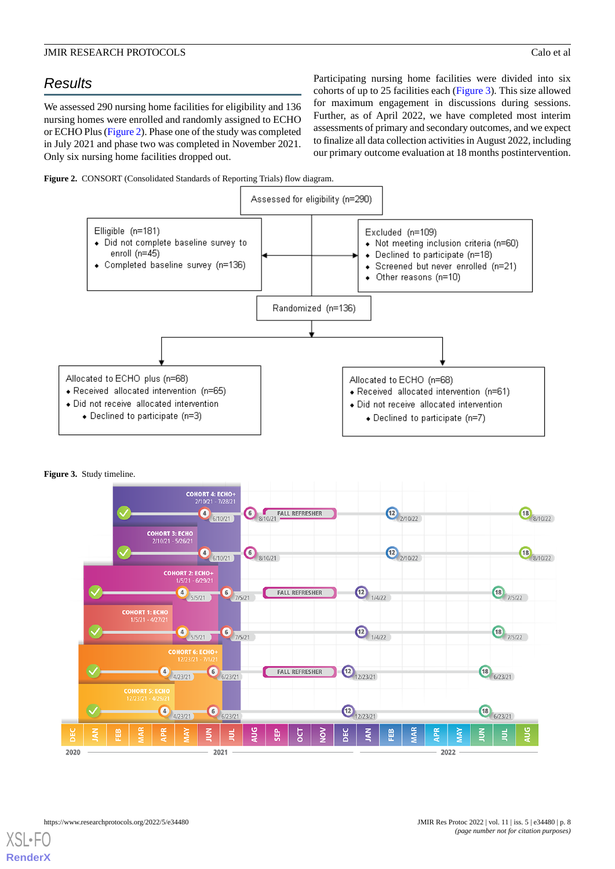# *Results*

We assessed 290 nursing home facilities for eligibility and 136 nursing homes were enrolled and randomly assigned to ECHO or ECHO Plus ([Figure 2\)](#page-7-0). Phase one of the study was completed in July 2021 and phase two was completed in November 2021. Only six nursing home facilities dropped out.

Participating nursing home facilities were divided into six cohorts of up to 25 facilities each ([Figure 3](#page-7-1)). This size allowed for maximum engagement in discussions during sessions. Further, as of April 2022, we have completed most interim assessments of primary and secondary outcomes, and we expect to finalize all data collection activities in August 2022, including our primary outcome evaluation at 18 months postintervention.

<span id="page-7-0"></span>



#### <span id="page-7-1"></span>**Figure 3.** Study timeline.



 $XS$  • FOR **[RenderX](http://www.renderx.com/)**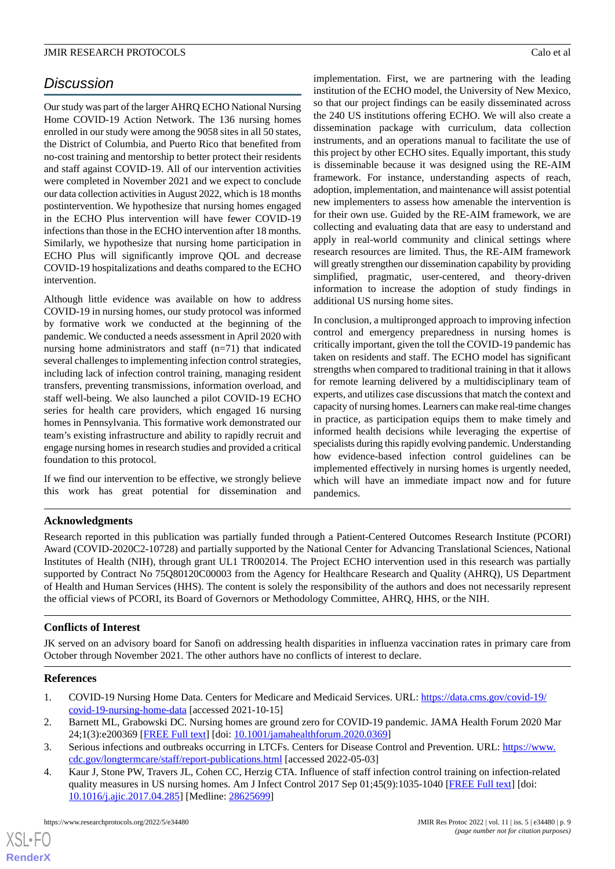# *Discussion*

Our study was part of the larger AHRQ ECHO National Nursing Home COVID-19 Action Network. The 136 nursing homes enrolled in our study were among the 9058 sites in all 50 states, the District of Columbia, and Puerto Rico that benefited from no-cost training and mentorship to better protect their residents and staff against COVID-19. All of our intervention activities were completed in November 2021 and we expect to conclude our data collection activities in August 2022, which is 18 months postintervention. We hypothesize that nursing homes engaged in the ECHO Plus intervention will have fewer COVID-19 infections than those in the ECHO intervention after 18 months. Similarly, we hypothesize that nursing home participation in ECHO Plus will significantly improve QOL and decrease COVID-19 hospitalizations and deaths compared to the ECHO intervention.

Although little evidence was available on how to address COVID-19 in nursing homes, our study protocol was informed by formative work we conducted at the beginning of the pandemic. We conducted a needs assessment in April 2020 with nursing home administrators and staff (n=71) that indicated several challenges to implementing infection control strategies, including lack of infection control training, managing resident transfers, preventing transmissions, information overload, and staff well-being. We also launched a pilot COVID-19 ECHO series for health care providers, which engaged 16 nursing homes in Pennsylvania. This formative work demonstrated our team's existing infrastructure and ability to rapidly recruit and engage nursing homes in research studies and provided a critical foundation to this protocol.

If we find our intervention to be effective, we strongly believe this work has great potential for dissemination and implementation. First, we are partnering with the leading institution of the ECHO model, the University of New Mexico, so that our project findings can be easily disseminated across the 240 US institutions offering ECHO. We will also create a dissemination package with curriculum, data collection instruments, and an operations manual to facilitate the use of this project by other ECHO sites. Equally important, this study is disseminable because it was designed using the RE-AIM framework. For instance, understanding aspects of reach, adoption, implementation, and maintenance will assist potential new implementers to assess how amenable the intervention is for their own use. Guided by the RE-AIM framework, we are collecting and evaluating data that are easy to understand and apply in real-world community and clinical settings where research resources are limited. Thus, the RE-AIM framework will greatly strengthen our dissemination capability by providing simplified, pragmatic, user-centered, and theory-driven information to increase the adoption of study findings in additional US nursing home sites.

In conclusion, a multipronged approach to improving infection control and emergency preparedness in nursing homes is critically important, given the toll the COVID-19 pandemic has taken on residents and staff. The ECHO model has significant strengths when compared to traditional training in that it allows for remote learning delivered by a multidisciplinary team of experts, and utilizes case discussions that match the context and capacity of nursing homes. Learners can make real-time changes in practice, as participation equips them to make timely and informed health decisions while leveraging the expertise of specialists during this rapidly evolving pandemic. Understanding how evidence-based infection control guidelines can be implemented effectively in nursing homes is urgently needed, which will have an immediate impact now and for future pandemics.

# **Acknowledgments**

Research reported in this publication was partially funded through a Patient-Centered Outcomes Research Institute (PCORI) Award (COVID-2020C2-10728) and partially supported by the National Center for Advancing Translational Sciences, National Institutes of Health (NIH), through grant UL1 TR002014. The Project ECHO intervention used in this research was partially supported by Contract No 75Q80120C00003 from the Agency for Healthcare Research and Quality (AHRQ), US Department of Health and Human Services (HHS). The content is solely the responsibility of the authors and does not necessarily represent the official views of PCORI, its Board of Governors or Methodology Committee, AHRQ, HHS, or the NIH.

# <span id="page-8-0"></span>**Conflicts of Interest**

<span id="page-8-1"></span>JK served on an advisory board for Sanofi on addressing health disparities in influenza vaccination rates in primary care from October through November 2021. The other authors have no conflicts of interest to declare.

# <span id="page-8-2"></span>**References**

- <span id="page-8-3"></span>1. COVID-19 Nursing Home Data. Centers for Medicare and Medicaid Services. URL: [https://data.cms.gov/covid-19/](https://data.cms.gov/covid-19/covid-19-nursing-home-data) [covid-19-nursing-home-data](https://data.cms.gov/covid-19/covid-19-nursing-home-data) [accessed 2021-10-15]
- 2. Barnett ML, Grabowski DC. Nursing homes are ground zero for COVID-19 pandemic. JAMA Health Forum 2020 Mar 24;1(3):e200369 [\[FREE Full text](https://jamanetwork.com/channels/health-forum/fullarticle/2763666)] [doi: [10.1001/jamahealthforum.2020.0369](http://dx.doi.org/10.1001/jamahealthforum.2020.0369)]
- 3. Serious infections and outbreaks occurring in LTCFs. Centers for Disease Control and Prevention. URL: [https://www.](https://www.cdc.gov/longtermcare/staff/report-publications.html) [cdc.gov/longtermcare/staff/report-publications.html](https://www.cdc.gov/longtermcare/staff/report-publications.html) [accessed 2022-05-03]
- 4. Kaur J, Stone PW, Travers JL, Cohen CC, Herzig CTA. Influence of staff infection control training on infection-related quality measures in US nursing homes. Am J Infect Control 2017 Sep 01;45(9):1035-1040 [[FREE Full text](http://europepmc.org/abstract/MED/28625699)] [doi: [10.1016/j.ajic.2017.04.285](http://dx.doi.org/10.1016/j.ajic.2017.04.285)] [Medline: [28625699\]](http://www.ncbi.nlm.nih.gov/entrez/query.fcgi?cmd=Retrieve&db=PubMed&list_uids=28625699&dopt=Abstract)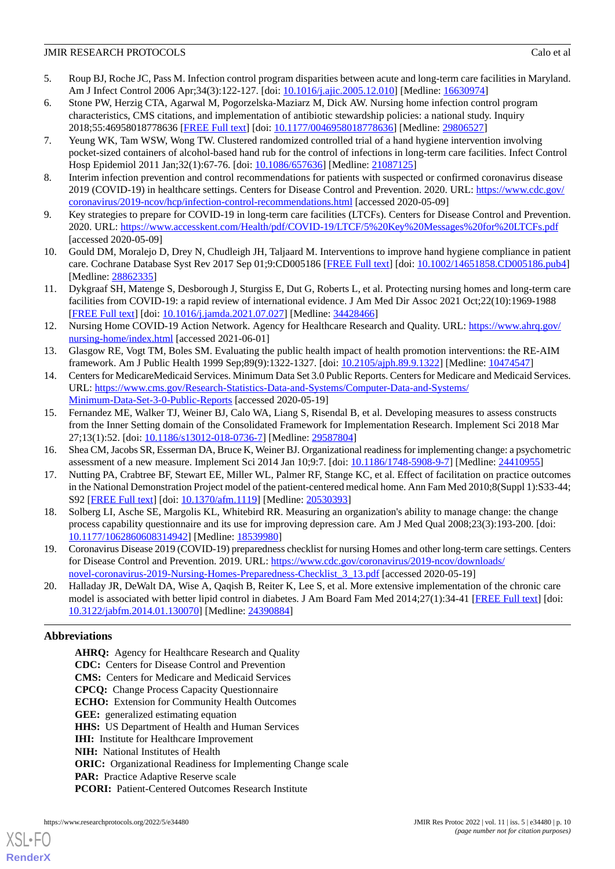- 5. Roup BJ, Roche JC, Pass M. Infection control program disparities between acute and long-term care facilities in Maryland. Am J Infect Control 2006 Apr;34(3):122-127. [doi: [10.1016/j.ajic.2005.12.010\]](http://dx.doi.org/10.1016/j.ajic.2005.12.010) [Medline: [16630974\]](http://www.ncbi.nlm.nih.gov/entrez/query.fcgi?cmd=Retrieve&db=PubMed&list_uids=16630974&dopt=Abstract)
- <span id="page-9-0"></span>6. Stone PW, Herzig CTA, Agarwal M, Pogorzelska-Maziarz M, Dick AW. Nursing home infection control program characteristics, CMS citations, and implementation of antibiotic stewardship policies: a national study. Inquiry 2018;55:46958018778636 [[FREE Full text](https://journals.sagepub.com/doi/10.1177/0046958018778636?url_ver=Z39.88-2003&rfr_id=ori:rid:crossref.org&rfr_dat=cr_pub%3dpubmed)] [doi: [10.1177/0046958018778636\]](http://dx.doi.org/10.1177/0046958018778636) [Medline: [29806527\]](http://www.ncbi.nlm.nih.gov/entrez/query.fcgi?cmd=Retrieve&db=PubMed&list_uids=29806527&dopt=Abstract)
- <span id="page-9-1"></span>7. Yeung WK, Tam WSW, Wong TW. Clustered randomized controlled trial of a hand hygiene intervention involving pocket-sized containers of alcohol-based hand rub for the control of infections in long-term care facilities. Infect Control Hosp Epidemiol 2011 Jan;32(1):67-76. [doi: [10.1086/657636](http://dx.doi.org/10.1086/657636)] [Medline: [21087125](http://www.ncbi.nlm.nih.gov/entrez/query.fcgi?cmd=Retrieve&db=PubMed&list_uids=21087125&dopt=Abstract)]
- <span id="page-9-3"></span><span id="page-9-2"></span>8. Interim infection prevention and control recommendations for patients with suspected or confirmed coronavirus disease 2019 (COVID-19) in healthcare settings. Centers for Disease Control and Prevention. 2020. URL: [https://www.cdc.gov/](https://www.cdc.gov/coronavirus/2019-ncov/hcp/infection-control-recommendations.html) [coronavirus/2019-ncov/hcp/infection-control-recommendations.html](https://www.cdc.gov/coronavirus/2019-ncov/hcp/infection-control-recommendations.html) [accessed 2020-05-09]
- <span id="page-9-4"></span>9. Key strategies to prepare for COVID-19 in long-term care facilities (LTCFs). Centers for Disease Control and Prevention. 2020. URL: <https://www.accesskent.com/Health/pdf/COVID-19/LTCF/5%20Key%20Messages%20for%20LTCFs.pdf> [accessed 2020-05-09]
- <span id="page-9-5"></span>10. Gould DM, Moralejo D, Drey N, Chudleigh JH, Taljaard M. Interventions to improve hand hygiene compliance in patient care. Cochrane Database Syst Rev 2017 Sep 01;9:CD005186 [\[FREE Full text\]](http://europepmc.org/abstract/MED/28862335) [doi: [10.1002/14651858.CD005186.pub4](http://dx.doi.org/10.1002/14651858.CD005186.pub4)] [Medline: [28862335](http://www.ncbi.nlm.nih.gov/entrez/query.fcgi?cmd=Retrieve&db=PubMed&list_uids=28862335&dopt=Abstract)]
- <span id="page-9-6"></span>11. Dykgraaf SH, Matenge S, Desborough J, Sturgiss E, Dut G, Roberts L, et al. Protecting nursing homes and long-term care facilities from COVID-19: a rapid review of international evidence. J Am Med Dir Assoc 2021 Oct;22(10):1969-1988 [[FREE Full text](https://linkinghub.elsevier.com/retrieve/pii/S1525-8610(21)00675-7)] [doi: [10.1016/j.jamda.2021.07.027\]](http://dx.doi.org/10.1016/j.jamda.2021.07.027) [Medline: [34428466\]](http://www.ncbi.nlm.nih.gov/entrez/query.fcgi?cmd=Retrieve&db=PubMed&list_uids=34428466&dopt=Abstract)
- <span id="page-9-7"></span>12. Nursing Home COVID-19 Action Network. Agency for Healthcare Research and Quality. URL: [https://www.ahrq.gov/](https://www.ahrq.gov/nursing-home/index.html) [nursing-home/index.html](https://www.ahrq.gov/nursing-home/index.html) [accessed 2021-06-01]
- <span id="page-9-8"></span>13. Glasgow RE, Vogt TM, Boles SM. Evaluating the public health impact of health promotion interventions: the RE-AIM framework. Am J Public Health 1999 Sep;89(9):1322-1327. [doi: [10.2105/ajph.89.9.1322\]](http://dx.doi.org/10.2105/ajph.89.9.1322) [Medline: [10474547](http://www.ncbi.nlm.nih.gov/entrez/query.fcgi?cmd=Retrieve&db=PubMed&list_uids=10474547&dopt=Abstract)]
- <span id="page-9-9"></span>14. Centers for MedicareMedicaid Services. Minimum Data Set 3.0 Public Reports. Centers for Medicare and Medicaid Services. URL: [https://www.cms.gov/Research-Statistics-Data-and-Systems/Computer-Data-and-Systems/](https://www.cms.gov/Research-Statistics-Data-and-Systems/Computer-Data-and-Systems/Minimum-Data-Set-3-0-Public-Reports) [Minimum-Data-Set-3-0-Public-Reports](https://www.cms.gov/Research-Statistics-Data-and-Systems/Computer-Data-and-Systems/Minimum-Data-Set-3-0-Public-Reports) [accessed 2020-05-19]
- <span id="page-9-11"></span><span id="page-9-10"></span>15. Fernandez ME, Walker TJ, Weiner BJ, Calo WA, Liang S, Risendal B, et al. Developing measures to assess constructs from the Inner Setting domain of the Consolidated Framework for Implementation Research. Implement Sci 2018 Mar 27;13(1):52. [doi: [10.1186/s13012-018-0736-7](http://dx.doi.org/10.1186/s13012-018-0736-7)] [Medline: [29587804](http://www.ncbi.nlm.nih.gov/entrez/query.fcgi?cmd=Retrieve&db=PubMed&list_uids=29587804&dopt=Abstract)]
- <span id="page-9-12"></span>16. Shea CM, Jacobs SR, Esserman DA, Bruce K, Weiner BJ. Organizational readiness for implementing change: a psychometric assessment of a new measure. Implement Sci 2014 Jan 10;9:7. [doi: [10.1186/1748-5908-9-7](http://dx.doi.org/10.1186/1748-5908-9-7)] [Medline: [24410955\]](http://www.ncbi.nlm.nih.gov/entrez/query.fcgi?cmd=Retrieve&db=PubMed&list_uids=24410955&dopt=Abstract)
- 17. Nutting PA, Crabtree BF, Stewart EE, Miller WL, Palmer RF, Stange KC, et al. Effect of facilitation on practice outcomes in the National Demonstration Project model of the patient-centered medical home. Ann Fam Med 2010;8(Suppl 1):S33-44; S92 [[FREE Full text](http://www.annfammed.org/cgi/pmidlookup?view=long&pmid=20530393)] [doi: [10.1370/afm.1119\]](http://dx.doi.org/10.1370/afm.1119) [Medline: [20530393\]](http://www.ncbi.nlm.nih.gov/entrez/query.fcgi?cmd=Retrieve&db=PubMed&list_uids=20530393&dopt=Abstract)
- <span id="page-9-14"></span><span id="page-9-13"></span>18. Solberg LI, Asche SE, Margolis KL, Whitebird RR. Measuring an organization's ability to manage change: the change process capability questionnaire and its use for improving depression care. Am J Med Qual 2008;23(3):193-200. [doi: [10.1177/1062860608314942\]](http://dx.doi.org/10.1177/1062860608314942) [Medline: [18539980\]](http://www.ncbi.nlm.nih.gov/entrez/query.fcgi?cmd=Retrieve&db=PubMed&list_uids=18539980&dopt=Abstract)
- 19. Coronavirus Disease 2019 (COVID-19) preparedness checklist for nursing Homes and other long-term care settings. Centers for Disease Control and Prevention. 2019. URL: [https://www.cdc.gov/coronavirus/2019-ncov/downloads/](https://www.cdc.gov/coronavirus/2019-ncov/downloads/novel-coronavirus-2019-Nursing-Homes-Preparedness-Checklist_3_13.pdf) [novel-coronavirus-2019-Nursing-Homes-Preparedness-Checklist\\_3\\_13.pdf](https://www.cdc.gov/coronavirus/2019-ncov/downloads/novel-coronavirus-2019-Nursing-Homes-Preparedness-Checklist_3_13.pdf) [accessed 2020-05-19]
- 20. Halladay JR, DeWalt DA, Wise A, Qaqish B, Reiter K, Lee S, et al. More extensive implementation of the chronic care model is associated with better lipid control in diabetes. J Am Board Fam Med 2014;27(1):34-41 [\[FREE Full text\]](http://www.jabfm.org/cgi/pmidlookup?view=long&pmid=24390884) [doi: [10.3122/jabfm.2014.01.130070\]](http://dx.doi.org/10.3122/jabfm.2014.01.130070) [Medline: [24390884](http://www.ncbi.nlm.nih.gov/entrez/query.fcgi?cmd=Retrieve&db=PubMed&list_uids=24390884&dopt=Abstract)]

# **Abbreviations**

[XSL](http://www.w3.org/Style/XSL)•FO **[RenderX](http://www.renderx.com/)**

AHRQ: Agency for Healthcare Research and Quality **CDC:** Centers for Disease Control and Prevention **CMS:** Centers for Medicare and Medicaid Services **CPCQ:** Change Process Capacity Questionnaire **ECHO:** Extension for Community Health Outcomes **GEE:** generalized estimating equation **HHS:** US Department of Health and Human Services **IHI:** Institute for Healthcare Improvement **NIH:** National Institutes of Health **ORIC:** Organizational Readiness for Implementing Change scale **PAR:** Practice Adaptive Reserve scale PCORI: Patient-Centered Outcomes Research Institute